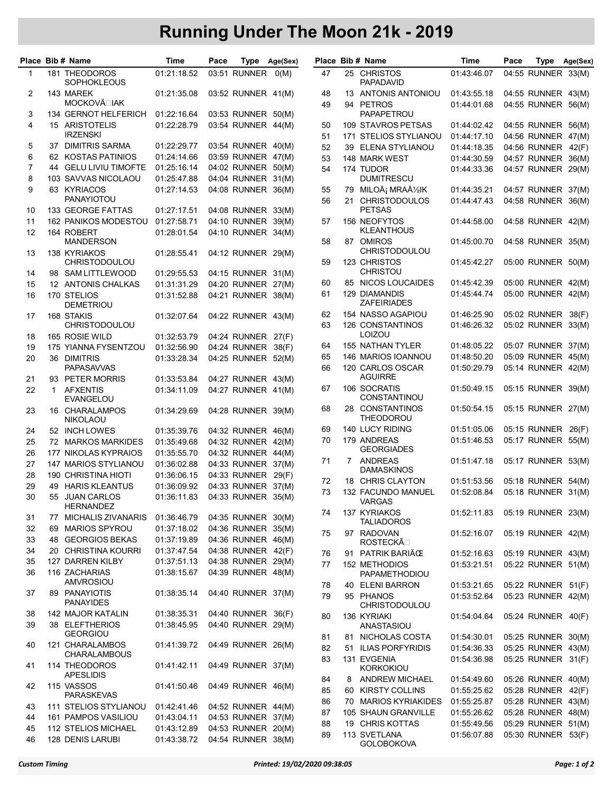## Running Under The Moon 21k - 2019

|                |              | Place Bib # Name                    | Time        | Pace |                    | Type Age(Sex) |          |         | Place Bib # Name                               | Time                       | Pace |                                          | Type Age(Sex) |
|----------------|--------------|-------------------------------------|-------------|------|--------------------|---------------|----------|---------|------------------------------------------------|----------------------------|------|------------------------------------------|---------------|
| $\mathbf{1}$   |              | 181 THEODOROS<br><b>SOPHOKLEOUS</b> | 01:21:18.52 |      | 03:51 RUNNER       | O(M)          | 47       |         | 25 CHRISTOS<br>PAPADAVID                       | 01:43:46.07                |      | 04:55 RUNNER 33(M)                       |               |
| 2              |              | 143 MAREK                           | 01:21:35.08 |      | 03:52 RUNNER 41(M) |               | 48       |         | 13 ANTONIS ANTONIOU                            | 01:43:55.18                |      | 04:55 RUNNER 43(M)                       |               |
|                |              | <b>MOCKOVÄ</b> <sub>L</sub> IAK     |             |      |                    |               | 49       | 94      | <b>PETROS</b>                                  | 01:44:01.68                |      | 04:55 RUNNER 56(M)                       |               |
| 3              |              | 134 GERNOT HELFERICH                | 01:22:16.64 |      | 03:53 RUNNER 50(M) |               |          |         | PAPAPETROU                                     |                            |      |                                          |               |
| $\overline{4}$ |              | 15 ARISTOTELIS<br><b>IRZENSKI</b>   | 01:22:28.79 |      | 03:54 RUNNER 44(M) |               | 50       |         | 109 STAVROS PETSAS                             | 01:44:02.42                |      | 04:55 RUNNER 56(M)                       |               |
| 5              |              | 37 DIMITRIS SARMA                   | 01:22:29.77 |      | 03:54 RUNNER 40(M) |               | 51<br>52 |         | 171 STELIOS STYLIANOU<br>39 ELENA STYLIANOU    | 01:44:17.10<br>01:44:18.35 |      | 04:56 RUNNER 47(M)<br>04:56 RUNNER 42(F) |               |
| 6              |              | 62 KOSTAS PATINIOS                  | 01:24:14.66 |      | 03:59 RUNNER 47(M) |               | 53       |         | 148 MARK WEST                                  | 01:44:30.59                |      | 04:57 RUNNER 36(M)                       |               |
| $\overline{7}$ |              | 44 GELU LIVIU TIMOFTE               | 01:25:16.14 |      | 04:02 RUNNER 50(M) |               | 54       |         | 174 TUDOR                                      | 01:44:33.36                |      | 04:57 RUNNER 29(M)                       |               |
| 8              |              | 103 SAVVAS NICOLAOU                 | 01:25:47.88 |      | 04:04 RUNNER 31(M) |               |          |         | <b>DUMITRESCU</b>                              |                            |      |                                          |               |
| 9              |              | 63 KYRIACOS                         | 01:27:14.53 |      | 04:08 RUNNER 36(M) |               | 55       | 79      | MILOš MRAŽIK                                   | 01:44:35.21                |      | 04:57 RUNNER 37(M)                       |               |
|                |              | <b>PANAYIOTOU</b>                   |             |      |                    |               | 56       | 21      | <b>CHRISTODOULOS</b>                           | 01:44:47.43                |      | 04:58 RUNNER 36(M)                       |               |
| 10             |              | 133 GEORGE FATTAS                   | 01:27:17.51 |      | 04:08 RUNNER 33(M) |               |          |         | <b>PETSAS</b>                                  |                            |      |                                          |               |
| 11             |              | 162 PANIKOS MODESTOU                | 01:27:58.71 |      | 04:10 RUNNER 39(M) |               | 57       |         | 156 NEOFYTOS                                   | 01:44:58.00                |      | 04:58 RUNNER 42(M)                       |               |
| 12             |              | 164 ROBERT<br><b>MANDERSON</b>      | 01:28:01.54 |      | 04:10 RUNNER 34(M) |               | 58       |         | <b>KLEANTHOUS</b><br>87 OMIROS                 | 01:45:00.70                |      | 04:58 RUNNER 35(M)                       |               |
| 13             |              | 138 KYRIAKOS                        | 01:28:55.41 |      | 04:12 RUNNER 29(M) |               |          |         | CHRISTODOULOU                                  |                            |      |                                          |               |
|                |              | <b>CHRISTODOULOU</b>                |             |      |                    |               | 59       |         | 123 CHRISTOS                                   | 01:45:42.27                |      | 05:00 RUNNER 50(M)                       |               |
| 14             |              | 98 SAM LITTLEWOOD                   | 01:29:55.53 |      | 04:15 RUNNER 31(M) |               |          |         | CHRISTOU                                       |                            |      |                                          |               |
| 15             |              | 12 ANTONIS CHALKAS                  | 01:31:31.29 |      | 04:20 RUNNER 27(M) |               | 60       |         | 85 NICOS LOUCAIDES                             | 01:45:42.39                |      | 05:00 RUNNER 42(M)                       |               |
| 16             |              | 170 STELIOS                         | 01:31:52.88 |      | 04:21 RUNNER 38(M) |               | 61       |         | 129 DIAMANDIS                                  | 01:45:44.74                |      | 05:00 RUNNER 42(M)                       |               |
|                |              | <b>DEMETRIOU</b>                    |             |      |                    |               |          |         | <b>ZAFEIRIADES</b><br>154 NASSO AGAPIOU        |                            |      | 05:02 RUNNER 38(F)                       |               |
| 17             |              | 168 STAKIS<br><b>CHRISTODOULOU</b>  | 01:32:07.64 |      | 04:22 RUNNER 43(M) |               | 62<br>63 |         | <b>126 CONSTANTINOS</b>                        | 01:46:25.90<br>01:46:26.32 |      | 05:02 RUNNER 33(M)                       |               |
| 18             |              | 165 ROSIE WILD                      | 01:32:53.79 |      | 04:24 RUNNER 27(F) |               |          |         | LOIZOU                                         |                            |      |                                          |               |
| 19             |              | 175 YIANNA FYSENTZOU                | 01:32:56.90 |      | 04:24 RUNNER 38(F) |               | 64       |         | 155 NATHAN TYLER                               | 01:48:05.22                |      | 05:07 RUNNER 37(M)                       |               |
| 20             |              | 36 DIMITRIS                         | 01:33:28.34 |      | 04:25 RUNNER 52(M) |               | 65       |         | 146 MARIOS IOANNOU                             | 01:48:50.20                |      | 05:09 RUNNER 45(M)                       |               |
|                |              | <b>PAPASAVVAS</b>                   |             |      |                    |               | 66       |         | 120 CARLOS OSCAR                               | 01:50:29.79                |      | 05:14 RUNNER 42(M)                       |               |
| 21             |              | 93 PETER MORRIS                     | 01:33:53.84 |      | 04:27 RUNNER 43(M) |               |          |         | <b>AGUIRRE</b>                                 |                            |      |                                          |               |
| 22             | $\mathbf{1}$ | <b>AFXENTIS</b><br><b>EVANGELOU</b> | 01:34:11.09 |      | 04:27 RUNNER 41(M) |               | 67       |         | 106 SOCRATIS<br><b>CONSTANTINOU</b>            | 01:50:49.15                |      | 05:15 RUNNER 39(M)                       |               |
| 23             |              | 16 CHARALAMPOS<br><b>NIKOLAOU</b>   | 01:34:29.69 |      | 04:28 RUNNER 39(M) |               | 68       |         | 28 CONSTANTINOS<br><b>THEODOROU</b>            | 01:50:54.15                |      | 05:15 RUNNER 27(M)                       |               |
| 24             |              | 52 INCH LOWES                       | 01:35:39.76 |      | 04:32 RUNNER 46(M) |               | 69       |         | 140 LUCY RIDING                                | 01:51:05.06                |      | 05:15 RUNNER 26(F)                       |               |
| 25             |              | 72 MARKOS MARKIDES                  | 01:35:49.68 |      | 04:32 RUNNER 42(M) |               | 70       |         | 179 ANDREAS                                    | 01:51:46.53                |      | 05:17 RUNNER 55(M)                       |               |
| 26             |              | 177 NIKOLAS KYPRAIOS                | 01:35:55.70 |      | 04:32 RUNNER 44(M) |               |          |         | <b>GEORGIADES</b>                              |                            |      |                                          |               |
| 27             |              | 147 MARIOS STYLIANOU                | 01:36:02.88 |      | 04:33 RUNNER 37(M) |               | 71       |         | 7 ANDREAS<br><b>DAMASKINOS</b>                 | 01:51:47.18                |      | 05:17 RUNNER 53(M)                       |               |
| 28             |              | <b>190 CHRISTINA HIOTI</b>          | 01:36:06.15 |      | 04:33 RUNNER 29(F) |               | 72       |         | 18 CHRIS CLAYTON                               | 01:51:53.56                |      | 05:18 RUNNER 54(M)                       |               |
| 29             |              | <b>49 HARIS KLEANTUS</b>            | 01:36:09.92 |      | 04:33 RUNNER 37(M) |               | 73       |         | <b>132 FACUNDO MANUEL</b>                      | 01:52:08.84                |      | 05:18 RUNNER 31(M)                       |               |
| 30             |              | 55 JUAN CARLOS<br><b>HERNANDEZ</b>  | 01:36:11.83 |      | 04:33 RUNNER 35(M) |               | 74       |         | VARGAS<br>137 KYRIAKOS                         | 01:52:11.83                |      | 05:19 RUNNER 23(M)                       |               |
| 31             | 77           | <b>MICHALIS ZIVANARIS</b>           | 01:36:46.79 |      | 04:35 RUNNER 30(M) |               |          |         | <b>TALIADOROS</b>                              |                            |      |                                          |               |
| 32             |              | 69 MARIOS SPYROU                    | 01:37:18.02 |      | 04:36 RUNNER 35(M) |               | 75       |         | 97 RADOVAN                                     | 01:52:16.07                |      | 05:19 RUNNER 42(M)                       |               |
| 33             |              | 48 GEORGIOS BEKAS                   | 01:37:19.89 |      | 04:36 RUNNER 46(M) |               |          |         | <b>ROSTECKÃO</b>                               |                            |      |                                          |               |
| 34             |              | 20 CHRISTINA KOURRI                 | 01:37:47.54 |      | 04:38 RUNNER 42(F) |               | 76       |         | 91 PATRIK BARIÄCE                              | 01:52:16.63                |      | 05:19 RUNNER 43(M)                       |               |
| 35             |              | 127 DARREN KILBY                    | 01:37:51.13 |      | 04:38 RUNNER 29(M) |               | 77       |         | 152 METHODIOS                                  | 01:53:21.51                |      | 05:22 RUNNER 51(M)                       |               |
| 36             |              | 116 ZACHARIAS<br>AMVROSIOU          | 01:38:15.67 |      | 04:39 RUNNER 48(M) |               |          |         | PAPAMETHODIOU                                  |                            |      |                                          |               |
| 37             |              | 89 PANAYIOTIS                       | 01:38:35.14 |      | 04:40 RUNNER 37(M) |               | 78<br>79 |         | 40 ELENI BARRON<br>95 PHANOS                   | 01:53:21.65                |      | 05:22 RUNNER 51(F)                       |               |
|                |              | <b>PANAYIDES</b>                    |             |      |                    |               |          |         | CHRISTODOULOU                                  | 01:53:52.64                |      | 05:23 RUNNER 42(M)                       |               |
| 38             |              | <b>142 MAJOR KATALIN</b>            | 01:38:35.31 |      | 04:40 RUNNER 36(F) |               | 80       |         | 136 KYRIAKI                                    | 01:54:04.64                |      | 05:24 RUNNER 40(F)                       |               |
| 39             |              | 38 ELEFTHERIOS<br><b>GEORGIOU</b>   | 01:38:45.95 |      | 04:40 RUNNER 29(M) |               |          |         | ANASTASIOU                                     |                            |      |                                          |               |
| 40             |              | 121 CHARALAMBOS                     | 01:41:39.72 |      | 04:49 RUNNER 26(M) |               | 81<br>82 | 51      | 81 NICHOLAS COSTA<br><b>ILIAS PORFYRIDIS</b>   | 01:54:30.01<br>01:54:36.33 |      | 05:25 RUNNER 30(M)<br>05:25 RUNNER 43(M) |               |
|                |              | <b>CHARALAMBOUS</b>                 |             |      |                    |               | 83       |         | 131 EVGENIA                                    | 01:54:36.98                |      | 05:25 RUNNER 31(F)                       |               |
| 41             |              | 114 THEODOROS<br><b>APESLIDIS</b>   | 01:41:42.11 |      | 04:49 RUNNER 37(M) |               |          |         | <b>KORKOKIOU</b>                               |                            |      |                                          |               |
| 42             |              | 115 VASSOS                          | 01:41:50.46 |      | 04:49 RUNNER 46(M) |               | 84<br>85 | 8<br>60 | <b>ANDREW MICHAEL</b><br><b>KIRSTY COLLINS</b> | 01:54:49.60<br>01:55:25.62 |      | 05:26 RUNNER 40(M)<br>05:28 RUNNER 42(F) |               |
|                |              | <b>PARASKEVAS</b>                   |             |      |                    |               | 86       |         | 70 MARIOS KYRIAKIDES                           | 01:55:25.87                |      | 05:28 RUNNER 43(M)                       |               |
| 43             |              | 111 STELIOS STYLIANOU               | 01:42:41.46 |      | 04:52 RUNNER 44(M) |               | 87       |         | 105 SHAUN GRANVILLE                            | 01:55:26.62                |      | 05:28 RUNNER 48(M)                       |               |
| 44             |              | 161 PAMPOS VASILIOU                 | 01:43:04.11 |      | 04:53 RUNNER 37(M) |               | 88       | 19      | <b>CHRIS KOTTAS</b>                            | 01:55:49.56                |      | 05:29 RUNNER 51(M)                       |               |
| 45             |              | 112 STELIOS MICHAEL                 | 01:43:12.89 |      | 04:53 RUNNER 20(M) |               | 89       |         | 113 SVETLANA                                   | 01:56:07.88                |      | 05:30 RUNNER 53(F)                       |               |
| 46             |              | 128 DENIS LARUBI                    | 01:43:38.72 |      | 04:54 RUNNER 38(M) |               |          |         | <b>GOLOBOKOVA</b>                              |                            |      |                                          |               |